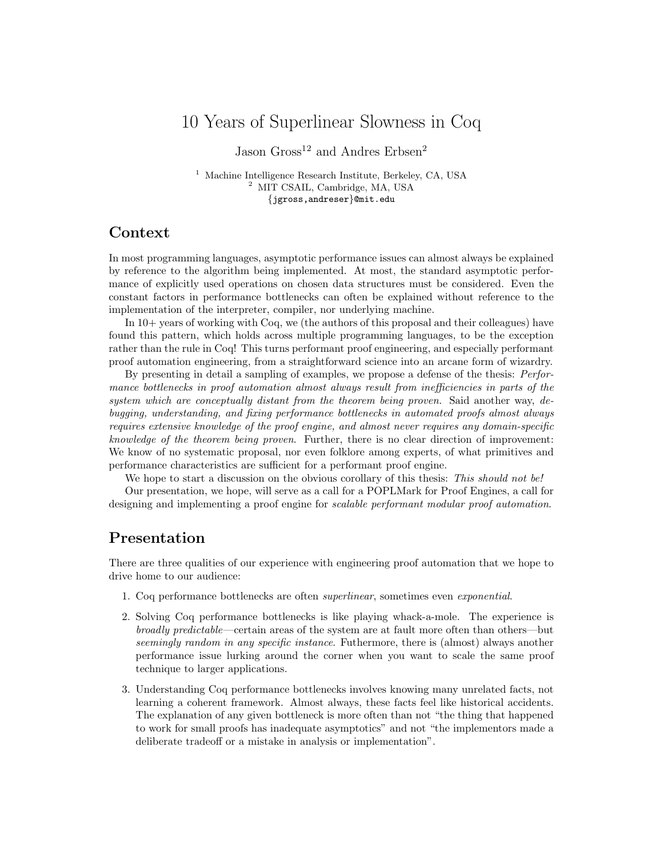# 10 Years of Superlinear Slowness in Coq

Jason Gross<sup>12</sup> and Andres Erbsen<sup>2</sup>

<sup>1</sup> Machine Intelligence Research Institute, Berkeley, CA, USA <sup>2</sup> MIT CSAIL, Cambridge, MA, USA {jgross,andreser}@mit.edu

# Context

In most programming languages, asymptotic performance issues can almost always be explained by reference to the algorithm being implemented. At most, the standard asymptotic performance of explicitly used operations on chosen data structures must be considered. Even the constant factors in performance bottlenecks can often be explained without reference to the implementation of the interpreter, compiler, nor underlying machine.

In 10+ years of working with Coq, we (the authors of this proposal and their colleagues) have found this pattern, which holds across multiple programming languages, to be the exception rather than the rule in Coq! This turns performant proof engineering, and especially performant proof automation engineering, from a straightforward science into an arcane form of wizardry.

By presenting in detail a sampling of examples, we propose a defense of the thesis: Performance bottlenecks in proof automation almost always result from inefficiencies in parts of the system which are conceptually distant from the theorem being proven. Said another way, debugging, understanding, and fixing performance bottlenecks in automated proofs almost always requires extensive knowledge of the proof engine, and almost never requires any domain-specific knowledge of the theorem being proven. Further, there is no clear direction of improvement: We know of no systematic proposal, nor even folklore among experts, of what primitives and performance characteristics are sufficient for a performant proof engine.

We hope to start a discussion on the obvious corollary of this thesis: This should not be! Our presentation, we hope, will serve as a call for a POPLMark for Proof Engines, a call for designing and implementing a proof engine for *scalable performant modular proof automation*.

# Presentation

There are three qualities of our experience with engineering proof automation that we hope to drive home to our audience:

- 1. Coq performance bottlenecks are often superlinear, sometimes even exponential.
- 2. Solving Coq performance bottlenecks is like playing whack-a-mole. The experience is broadly predictable—certain areas of the system are at fault more often than others—but seemingly random in any specific instance. Futhermore, there is (almost) always another performance issue lurking around the corner when you want to scale the same proof technique to larger applications.
- 3. Understanding Coq performance bottlenecks involves knowing many unrelated facts, not learning a coherent framework. Almost always, these facts feel like historical accidents. The explanation of any given bottleneck is more often than not "the thing that happened to work for small proofs has inadequate asymptotics" and not "the implementors made a deliberate tradeoff or a mistake in analysis or implementation".